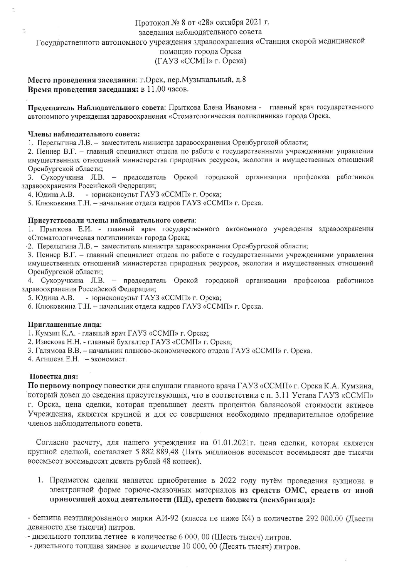# Протокол № 8 от «28» октября 2021 г. заселания наблюдательного совета

Государственного автономного учреждения здравоохранения «Станция скорой медицинской

помоши» города Орска

(ГАУЗ «ССМП» г. Орска)

Место проведения заседания: г. Орск, пер. Музыкальный, д.8 Время проведения заседания: в 11.00 часов.

Председатель Наблюдательного совета: Прыткова Елена Ивановна - главный врач государственного автономного учреждения здравоохранения «Стоматологическая поликлиника» города Орска.

#### Члены наблюдательного совета:

1. Перелыгина Л.В. - заместитель министра здравоохранения Оренбургской области;

2. Пеннер В.Г. - главный специалист отдела по работе с государственными учреждениями управления имущественных отношений министерства природных ресурсов, экологии и имущественных отношений Оренбургской области;

3. Сухоручкина Л.В. - председатель Орской городской организации профсоюза работников здравоохранения Российской Федерации;

4. Юдина А.В. - юрисконсульт ГАУЗ «ССМП» г. Орска;

5. Клюковкина Т.Н. - начальник отдела кадров ГАУЗ «ССМП» г. Орска.

# Присутствовали члены наблюдательного совета:

1. Прыткова Е.И. - главный врач государственного автономного учреждения здравоохранения «Стоматологическая поликлиника» города Орска;

2. Перелыгина Л.В. - заместитель министра здравоохранения Оренбургской области;

3. Пеннер В.Г. - главный специалист отдела по работе с государственными учреждениями управления имущественных отношений министерства природных ресурсов, экологии и имущественных отношений Оренбургской области;

4. Сухоручкина Л.В. - председатель Орской городской организации профсоюза работников здравоохранения Российской Федерации;

- юрисконсульт ГАУЗ «ССМП» г. Орска; 5. Юдина А.В.

6. Клюковкина Т.Н. - начальник отдела кадров ГАУЗ «ССМП» г. Орска.

# Приглашенные лица:

1. Кумзин К.А. - главный врач ГАУЗ «ССМП» г. Орска;

2. Извекова Н.Н. - главный бухгалтер ГАУЗ «ССМП» г. Орска;

3. Галямова В.В. - начальник планово-экономического отдела ГАУЗ «ССМП» г. Орска.

4. Агишева Е.Н. - экономист.

# Повестка дня:

По первому вопросу повестки дня слушали главного врача ГАУЗ «ССМП» г. Орска К.А. Кумзина, который довел до сведения присутствующих, что в соответствии с п. 3.11 Устава ГАУЗ «ССМП» г. Орска, цена сделки, которая превышает десять процентов балансовой стоимости активов Учреждения, является крупной и для ее совершения необходимо предварительное одобрение членов наблюдательного совета.

Согласно расчету, для нашего учреждения на 01.01.2021г. цена сделки, которая является крупной сделкой, составляет 5 882 889,48 (Пять миллионов восемьсот восемьдесят две тысячи восемьсот восемьдесят девять рублей 48 копеек).

1. Предметом сделки является приобретение в 2022 году путём проведения аукциона в электронной форме горюче-смазочных материалов из средств ОМС, средств от иной приносящей доход деятельности (ПД), средств бюджета (психбригада):

- бензина неэтилированного марки АИ-92 (класса не ниже К4) в количестве 292 000,00 (Двести девяносто две тысячи) литров.

- дизельного топлива летнее в количестве 6 000, 00 (Шесть тысяч) литров.

- дизельного топлива зимнее в количестве 10 000, 00 (Десять тысяч) литров.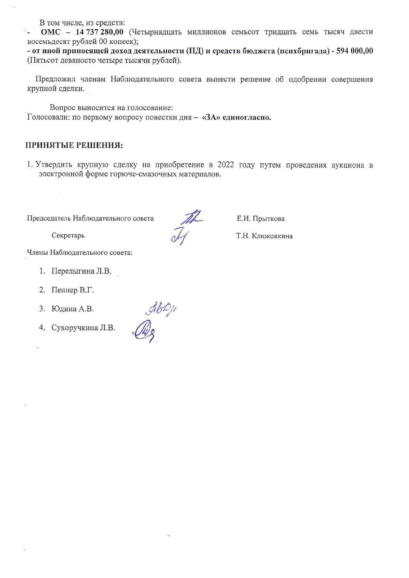В том числе, из средств:

Ý., ОМС - 14 737 280,00 (Четырнадцать миллионов семьсот тридцать семь тысяч двести восемьдесят рублей 00 копеек);

- от иной приносящей доход деятельности (ПД) и средств бюджета (психбригада) - 594 000,00 (Пятьсот девяносто четыре тысячи рублей).

Предложил членам Наблюдательного совета вынести решение об одобрении совершения крупной сделки.

Вопрос выносится на голосование: Голосовали: по первому вопросу повестки дня - «ЗА» единогласно.

arown

# ПРИНЯТЫЕ РЕШЕНИЯ:

1. Утвердить крупную сделку на приобретение в 2022 году путем проведения аукциона в электронной форме горюче-смазочных материалов.

Председатель Наблюдательного совета

Секретарь

 $\bar{\mathcal{R}}$ 

Члены Наблюдательного совета:

- 1. Перелыгина Л.В.
- 2. Пеннер В.Г.
- 3. Юдина А.В.
- 4. Сухоручкина Л.В.

Е.И. Прыткова

Т.Н. Клюковкина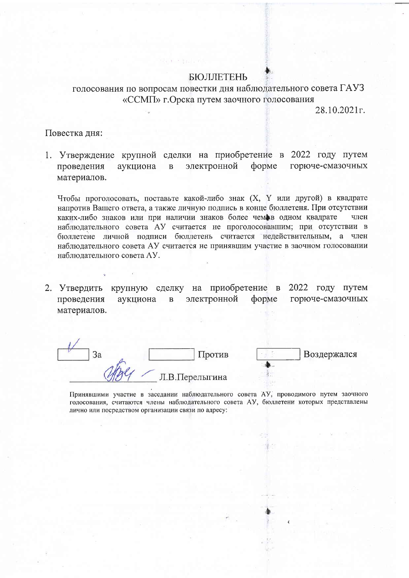#### **БЮЛЛЕТЕНЬ**

голосования по вопросам повестки дня наблюдательного совета ГАУЗ «ССМП» г. Орска путем заочного голосования

28.10.2021<sub>F</sub>.

# Повестка дня:

1. Утверждение крупной сделки на приобретение в 2022 году путем горюче-смазочных электронной форме проведения аукциона  $\overline{B}$ материалов.

Чтобы проголосовать, поставьте какой-либо знак (Х, Ү или другой) в квадрате напротив Вашего ответа, а также личную подпись в конце бюллетеня. При отсутствии каких-либо знаков или при наличии знаков более чеме в одном квадрате член наблюдательного совета АУ считается не проголосовавшим; при отсутствии в бюллетене личной подписи бюллетень считается недействительным, а член наблюдательного совета АУ считается не принявшим участие в заочном голосовании наблюдательного совета АУ.

крупную сделку на приобретение в 2022 году путем 2. Утвердить электронной проведения аукциона форме горюче-смазочных  $\bf{B}$ материалов.

3a Против Воздержался Л.В.Перелыгина

Принявшими участие в заседании наблюдательного совета АУ, проводимого путем заочного голосования, считаются члены наблюдательного совета АУ, бюллетени которых представлены лично или посредством организации связи по адресу: